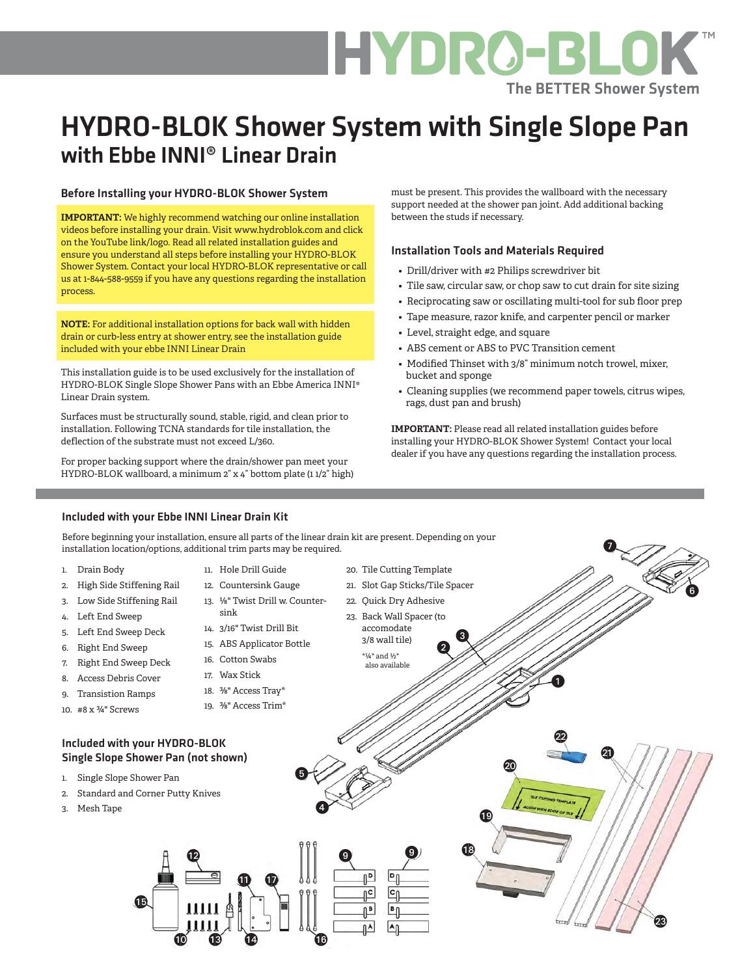### HYDRO-BLOK The BETTER Shower System

### HYDRO-BLOK Shower System with Single Slope Pan with Ebbe INNI® Linear Drain

#### Before Installing your HYDRO-BLOK Shower System

**IMPORTANT:** We highly recommend watching our online installation videos before installing your drain. Visit www.hydroblok.com and click on the YouTube link/logo. Read all related installation guides and ensure you understand all steps before installing your HYDRO-BLOK Shower System. Contact your local HYDRO-BLOK representative or call us at 1-844-588-9559 if you have any questions regarding the installation process.

**NOTE:** For additional installation options for back wall with hidden drain or curb-less entry at shower entry, see the installation guide included with your ebbe INNI Linear Drain

This installation guide is to be used exclusively for the installation of HYDRO-BLOK Single Slope Shower Pans with an Ebbe America INNI® Linear Drain system.

Surfaces must be structurally sound, stable, rigid, and clean prior to installation. Following TCNA standards for tile installation, the deflection of the substrate must not exceed L/360.

For proper backing support where the drain/shower pan meet your HYDRO-BLOK wallboard, a minimum 2" x 4" bottom plate (1 1/2" high)

must be present. This provides the wallboard with the necessary support needed at the shower pan joint. Add additional backing between the studs if necessary.

### Installation Tools and Materials Required

- Drill/driver with #2 Philips screwdriver bit
- Tile saw, circular saw, or chop saw to cut drain for site sizing
- Reciprocating saw or oscillating multi-tool for sub floor prep
- Tape measure, razor knife, and carpenter pencil or marker
- Level, straight edge, and square
- ABS cement or ABS to PVC Transition cement
- Modified Thinset with 3/8" minimum notch trowel, mixer, bucket and sponge
- Cleaning supplies (we recommend paper towels, citrus wipes, rags, dust pan and brush)

**IMPORTANT:** Please read all related installation guides before installing your HYDRO-BLOK Shower System! Contact your local dealer if you have any questions regarding the installation process.

0

#### Included with your Ebbe INNI Linear Drain Kit

Before beginning your installation, ensure all parts of the linear drain kit are present. Depending on your installation location/options, additional trim parts may be required.

- 1. Drain Body
- 2. High Side Stiffening Rail
- 3. Low Side Stiffening Rail
- 4. Left End Sweep
- 5. Left End Sweep Deck
- 6. Right End Sweep

9. Transistion Ramps 10. #8 x ¾" Screws

- 7. Right End Sweep Deck 8. Access Debris Cover
- 

℗

- 18. <sup>3</sup>/<sub>8</sub>" Access Tray\*
	- 19. ⅜" Access Trim\*

#### Included with your HYDRO-BLOK Single Slope Shower Pan (not shown)

- 1. Single Slope Shower Pan
- 2. Standard and Corner Putty Knives

 $\bf \Phi$ 

- 3. Mesh Tape
- 11. Hole Drill Guide 20. Tile Cutting Template 21. Slot Gap Sticks/Tile Spacer 12. Countersink Gauge 0 13. ⅛" Twist Drill w. Counter-22. Quick Dry Adhesive 23. Back Wall Spacer (to accomodate  $\mathbf{e}^{\mathbf{\Theta}}$ 3/8 wall tile) \*¼" and ½" also available  $\bf 0$ ❷ **0** 4 4 ❺ 4  $\bf \Phi$  $\bf \Phi$  $\bullet$   $\bullet$ ΛP  $\bar{\mathbb{P}}$ Ť₿. ⊕  $\mathbf 0$   $\mathbf 0$   $\mathbf 0$   $\mathbf 0$ 
	- 14. 3/16" Twist Drill Bit 15. ABS Applicator Bottle
	- 16. Cotton Swabs

sink

- 17. Wax Stick
- 
- -

0 Q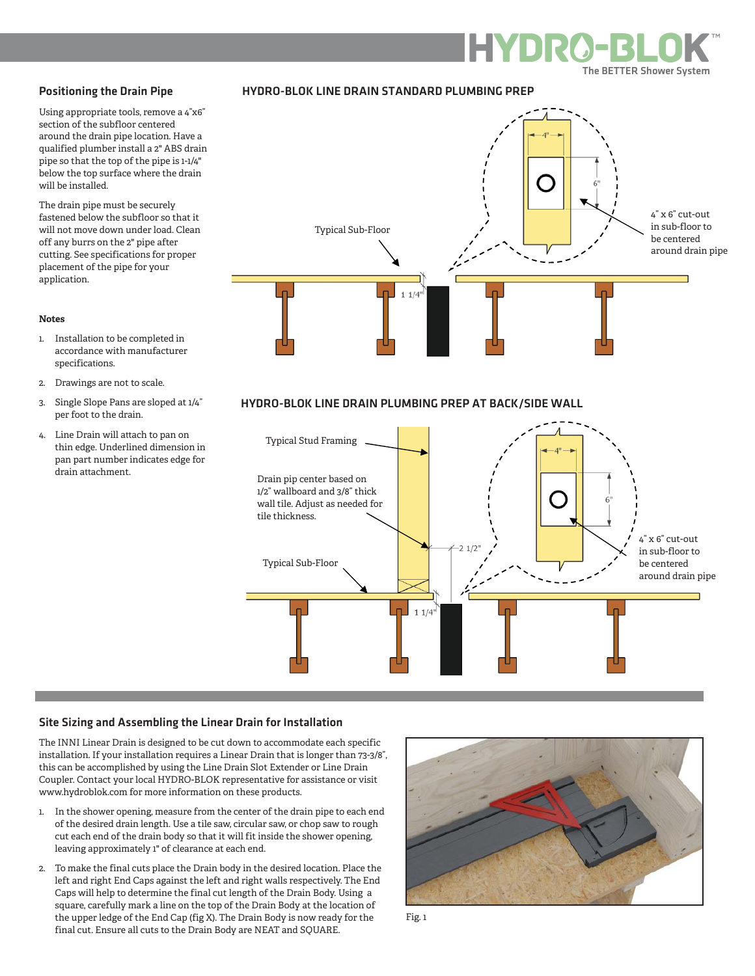#### Positioning the Drain Pipe

Using appropriate tools, remove a 4"x6" section of the subfloor centered around the drain pipe location. Have a qualified plumber install a 2" ABS drain pipe so that the top of the pipe is 1-1/4" below the top surface where the drain will be installed.

The drain pipe must be securely fastened below the subfloor so that it will not move down under load. Clean off any burrs on the 2" pipe after cutting. See specifications for proper placement of the pipe for your application.



#### **Notes**

- 1. Installation to be completed in accordance with manufacturer specifications.
- 2. Drawings are not to scale.
- 3. Single Slope Pans are sloped at 1/4" per foot to the drain.
- 4. Line Drain will attach to pan on thin edge. Underlined dimension in pan part number indicates edge for drain attachment.

#### HYDRO-BLOK LINE DRAIN PLUMBING PREP AT BACK/SIDE WALL

HYDRO-BLOK LINE DRAIN STANDARD PLUMBING PREP



#### Site Sizing and Assembling the Linear Drain for Installation

The INNI Linear Drain is designed to be cut down to accommodate each specific installation. If your installation requires a Linear Drain that is longer than 73-3/8", this can be accomplished by using the Line Drain Slot Extender or Line Drain Coupler. Contact your local HYDRO-BLOK representative for assistance or visit www.hydroblok.com for more information on these products.

- 1. In the shower opening, measure from the center of the drain pipe to each end of the desired drain length. Use a tile saw, circular saw, or chop saw to rough cut each end of the drain body so that it will fit inside the shower opening, leaving approximately 1" of clearance at each end.
- 2. To make the final cuts place the Drain body in the desired location. Place the left and right End Caps against the left and right walls respectively. The End Caps will help to determine the final cut length of the Drain Body. Using a square, carefully mark a line on the top of the Drain Body at the location of the upper ledge of the End Cap (fig X). The Drain Body is now ready for the final cut. Ensure all cuts to the Drain Body are NEAT and SQUARE.



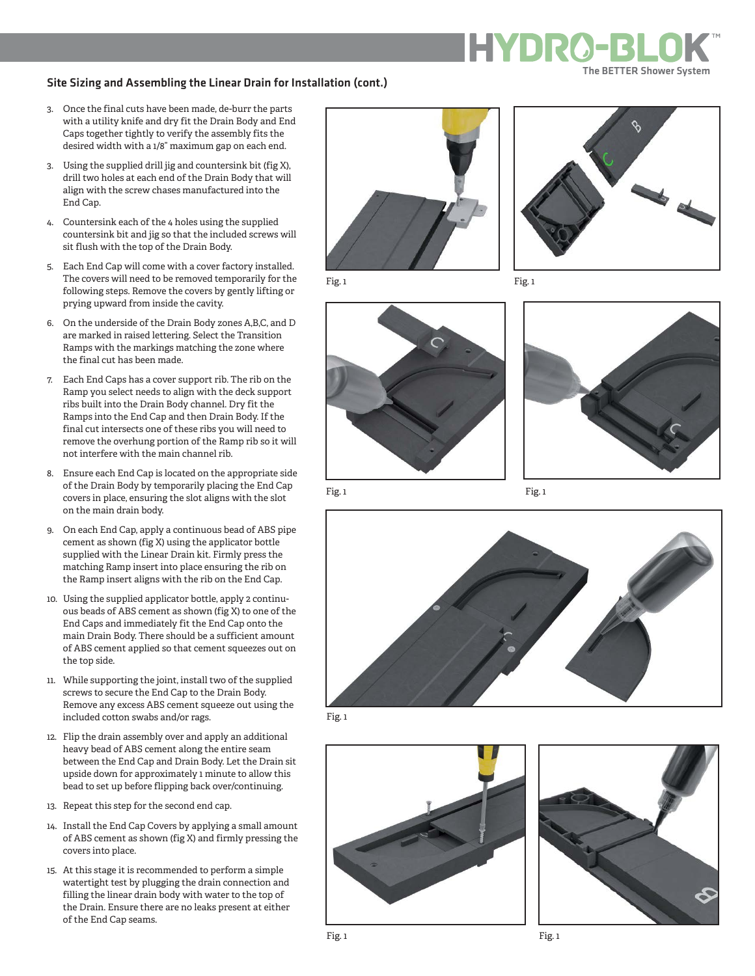#### Site Sizing and Assembling the Linear Drain for Installation (cont.)

- 3. Once the final cuts have been made, de-burr the parts with a utility knife and dry fit the Drain Body and End Caps together tightly to verify the assembly fits the desired width with a 1/8" maximum gap on each end.
- 3. Using the supplied drill jig and countersink bit (fig X), drill two holes at each end of the Drain Body that will align with the screw chases manufactured into the End Cap.
- 4. Countersink each of the 4 holes using the supplied countersink bit and jig so that the included screws will sit flush with the top of the Drain Body.
- 5. Each End Cap will come with a cover factory installed. The covers will need to be removed temporarily for the following steps. Remove the covers by gently lifting or prying upward from inside the cavity.
- 6. On the underside of the Drain Body zones A,B,C, and D are marked in raised lettering. Select the Transition Ramps with the markings matching the zone where the final cut has been made.
- 7. Each End Caps has a cover support rib. The rib on the Ramp you select needs to align with the deck support ribs built into the Drain Body channel. Dry fit the Ramps into the End Cap and then Drain Body. If the final cut intersects one of these ribs you will need to remove the overhung portion of the Ramp rib so it will not interfere with the main channel rib.
- 8. Ensure each End Cap is located on the appropriate side of the Drain Body by temporarily placing the End Cap covers in place, ensuring the slot aligns with the slot on the main drain body.
- 9. On each End Cap, apply a continuous bead of ABS pipe cement as shown (fig X) using the applicator bottle supplied with the Linear Drain kit. Firmly press the matching Ramp insert into place ensuring the rib on the Ramp insert aligns with the rib on the End Cap.
- 10. Using the supplied applicator bottle, apply 2 continuous beads of ABS cement as shown (fig X) to one of the End Caps and immediately fit the End Cap onto the main Drain Body. There should be a sufficient amount of ABS cement applied so that cement squeezes out on the top side.
- 11. While supporting the joint, install two of the supplied screws to secure the End Cap to the Drain Body. Remove any excess ABS cement squeeze out using the included cotton swabs and/or rags.
- 12. Flip the drain assembly over and apply an additional heavy bead of ABS cement along the entire seam between the End Cap and Drain Body. Let the Drain sit upside down for approximately 1 minute to allow this bead to set up before flipping back over/continuing.
- 13. Repeat this step for the second end cap.
- 14. Install the End Cap Covers by applying a small amount of ABS cement as shown (fig X) and firmly pressing the covers into place.
- 15. At this stage it is recommended to perform a simple watertight test by plugging the drain connection and filling the linear drain body with water to the top of the Drain. Ensure there are no leaks present at either of the End Cap seams.







The BETTER Shower System



Fig. 1 Fig. 1









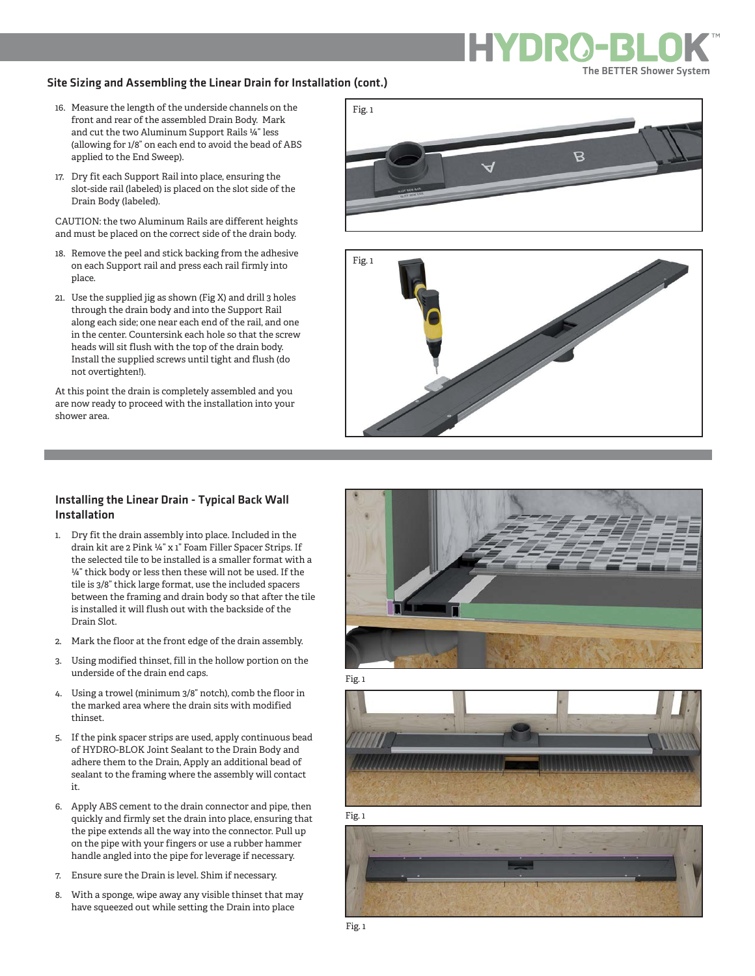#### Site Sizing and Assembling the Linear Drain for Installation (cont.)

- 16. Measure the length of the underside channels on the front and rear of the assembled Drain Body. Mark and cut the two Aluminum Support Rails ¼" less (allowing for 1/8" on each end to avoid the bead of ABS applied to the End Sweep).
- 17. Dry fit each Support Rail into place, ensuring the slot-side rail (labeled) is placed on the slot side of the Drain Body (labeled).

CAUTION: the two Aluminum Rails are different heights and must be placed on the correct side of the drain body.

- 18. Remove the peel and stick backing from the adhesive on each Support rail and press each rail firmly into place.
- 21. Use the supplied jig as shown (Fig X) and drill 3 holes through the drain body and into the Support Rail along each side; one near each end of the rail, and one in the center. Countersink each hole so that the screw heads will sit flush with the top of the drain body. Install the supplied screws until tight and flush (do not overtighten!).

At this point the drain is completely assembled and you are now ready to proceed with the installation into your shower area.





#### Installing the Linear Drain - Typical Back Wall Installation

- 1. Dry fit the drain assembly into place. Included in the drain kit are 2 Pink ¼" x 1" Foam Filler Spacer Strips. If the selected tile to be installed is a smaller format with a ¼" thick body or less then these will not be used. If the tile is 3/8" thick large format, use the included spacers between the framing and drain body so that after the tile is installed it will flush out with the backside of the Drain Slot.
- 2. Mark the floor at the front edge of the drain assembly.
- 3. Using modified thinset, fill in the hollow portion on the underside of the drain end caps.
- 4. Using a trowel (minimum 3/8" notch), comb the floor in the marked area where the drain sits with modified thinset.
- 5. If the pink spacer strips are used, apply continuous bead of HYDRO-BLOK Joint Sealant to the Drain Body and adhere them to the Drain, Apply an additional bead of sealant to the framing where the assembly will contact it.
- 6. Apply ABS cement to the drain connector and pipe, then quickly and firmly set the drain into place, ensuring that the pipe extends all the way into the connector. Pull up on the pipe with your fingers or use a rubber hammer handle angled into the pipe for leverage if necessary.
- 7. Ensure sure the Drain is level. Shim if necessary.
- 8. With a sponge, wipe away any visible thinset that may have squeezed out while setting the Drain into place









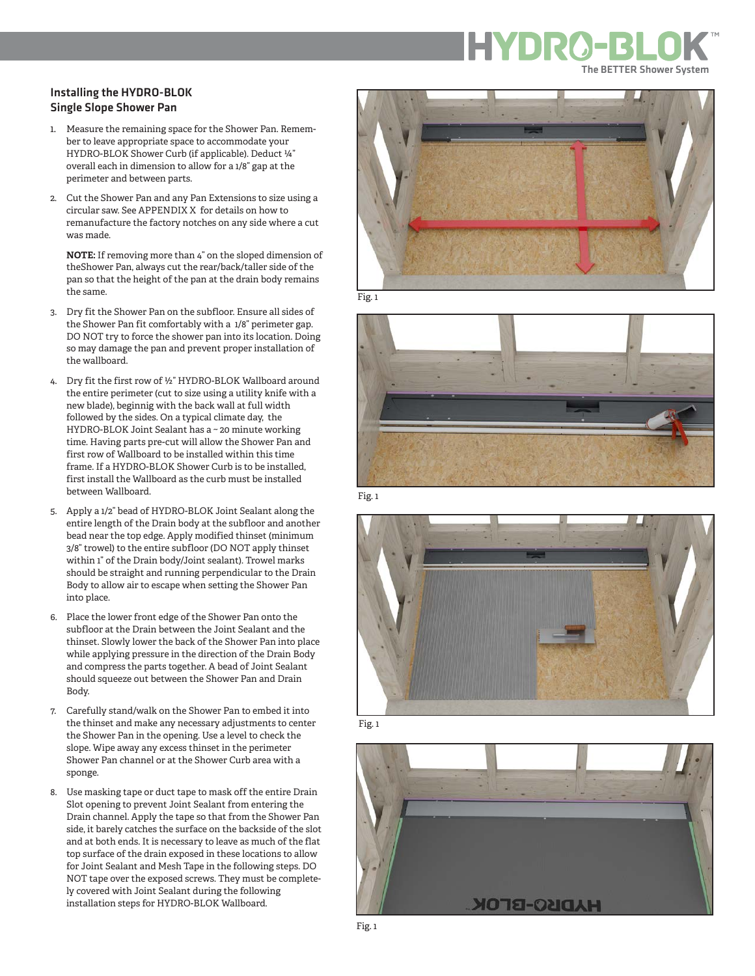### Installing the HYDRO-BLOK Single Slope Shower Pan

- 1. Measure the remaining space for the Shower Pan. Remem ber to leave appropriate space to accommodate your HYDRO-BLOK Shower Curb (if applicable). Deduct ¼" overall each in dimension to allow for a 1/8" gap at the perimeter and between parts.
- 2. Cut the Shower Pan and any Pan Extensions to size using a circular saw. See APPENDIX X for details on how to remanufacture the factory notches on any side where a cut was made.

**NOTE:** If removing more than 4" on the sloped dimension of theShower Pan, always cut the rear/back/taller side of the pan so that the height of the pan at the drain body remains the same.

- 3. Dry fit the Shower Pan on the subfloor. Ensure all sides of the Shower Pan fit comfortably with a 1/8" perimeter gap. DO NOT try to force the shower pan into its location. Doing so may damage the pan and prevent proper installation of the wallboard.
- 4. Dry fit the first row of ½" HYDRO-BLOK Wallboard around the entire perimeter (cut to size using a utility knife with a new blade), beginnig with the back wall at full width followed by the sides. On a typical climate day, the HYDRO-BLOK Joint Sealant has a ~ 20 minute working time. Having parts pre-cut will allow the Shower Pan and first row of Wallboard to be installed within this time frame. If a HYDRO-BLOK Shower Curb is to be installed, first install the Wallboard as the curb must be installed between Wallboard.
- 5. Apply a 1/2" bead of HYDRO-BLOK Joint Sealant along the entire length of the Drain body at the subfloor and another bead near the top edge. Apply modified thinset (minimum 3/8" trowel) to the entire subfloor (DO NOT apply thinset within 1" of the Drain body/Joint sealant). Trowel marks should be straight and running perpendicular to the Drain Body to allow air to escape when setting the Shower Pan into place.
- 6. Place the lower front edge of the Shower Pan onto the subfloor at the Drain between the Joint Sealant and the thinset. Slowly lower the back of the Shower Pan into place while applying pressure in the direction of the Drain Body and compress the parts together. A bead of Joint Sealant should squeeze out between the Shower Pan and Drain Body.
- 7. Carefully stand/walk on the Shower Pan to embed it into the thinset and make any necessary adjustments to center the Shower Pan in the opening. Use a level to check the slope. Wipe away any excess thinset in the perimeter Shower Pan channel or at the Shower Curb area with a sponge.
- 8. Use masking tape or duct tape to mask off the entire Drain Slot opening to prevent Joint Sealant from entering the Drain channel. Apply the tape so that from the Shower Pan side, it barely catches the surface on the backside of the slot and at both ends. It is necessary to leave as much of the flat top surface of the drain exposed in these locations to allow for Joint Sealant and Mesh Tape in the following steps. DO NOT tape over the exposed screws. They must be complete ly covered with Joint Sealant during the following installation steps for HYDRO-BLOK Wallboard.



Fig. 1



Fig. 1



Fig. 1

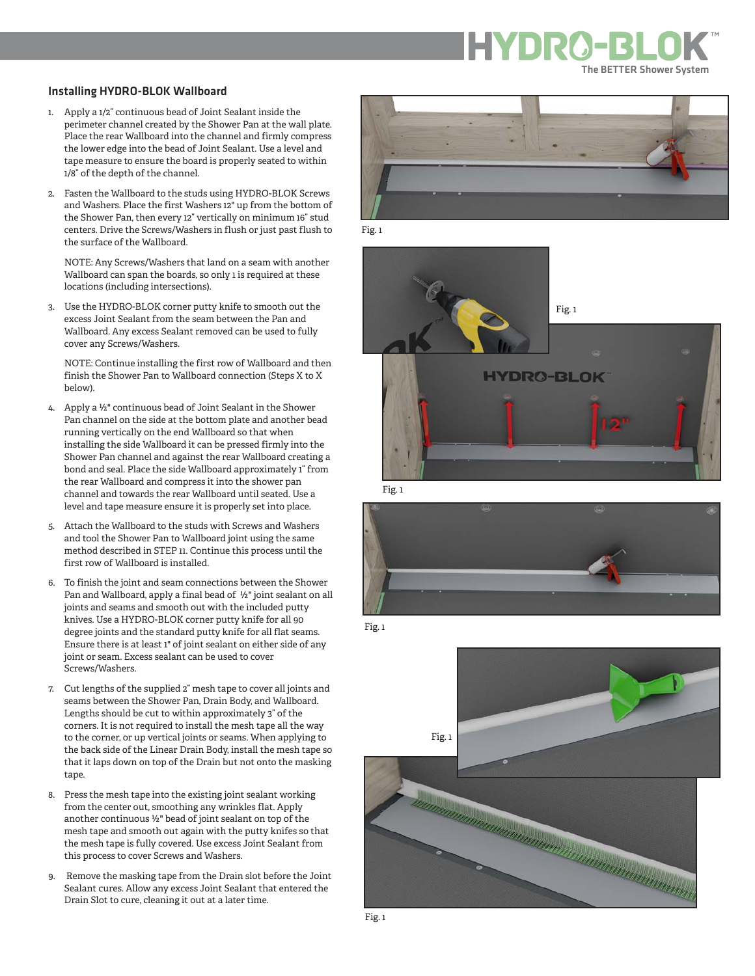#### Installing HYDRO-BLOK Wallboard

- 1. Apply a 1/2" continuous bead of Joint Sealant inside the perimeter channel created by the Shower Pan at the wall plate. Place the rear Wallboard into the channel and firmly compress the lower edge into the bead of Joint Sealant. Use a level and tape measure to ensure the board is properly seated to within 1/8" of the depth of the channel.
- 2. Fasten the Wallboard to the studs using HYDRO-BLOK Screws and Washers. Place the first Washers 12" up from the bottom of the Shower Pan, then every 12" vertically on minimum 16" stud centers. Drive the Screws/Washers in flush or just past flush to the surface of the Wallboard.

 NOTE: Any Screws/Washers that land on a seam with another Wallboard can span the boards, so only 1 is required at these locations (including intersections).

3. Use the HYDRO-BLOK corner putty knife to smooth out the excess Joint Sealant from the seam between the Pan and Wallboard. Any excess Sealant removed can be used to fully cover any Screws/Washers.

 NOTE: Continue installing the first row of Wallboard and then finish the Shower Pan to Wallboard connection (Steps X to X below).

- 4. Apply a ½" continuous bead of Joint Sealant in the Shower Pan channel on the side at the bottom plate and another bead running vertically on the end Wallboard so that when installing the side Wallboard it can be pressed firmly into the Shower Pan channel and against the rear Wallboard creating a bond and seal. Place the side Wallboard approximately 1" from the rear Wallboard and compress it into the shower pan channel and towards the rear Wallboard until seated. Use a level and tape measure ensure it is properly set into place.
- 5. Attach the Wallboard to the studs with Screws and Washers and tool the Shower Pan to Wallboard joint using the same method described in STEP 11. Continue this process until the first row of Wallboard is installed.
- 6. To finish the joint and seam connections between the Shower Pan and Wallboard, apply a final bead of ½" joint sealant on all joints and seams and smooth out with the included putty knives. Use a HYDRO-BLOK corner putty knife for all 90 degree joints and the standard putty knife for all flat seams. Ensure there is at least 1" of joint sealant on either side of any joint or seam. Excess sealant can be used to cover Screws/Washers.
- 7. Cut lengths of the supplied 2" mesh tape to cover all joints and seams between the Shower Pan, Drain Body, and Wallboard. Lengths should be cut to within approximately 3" of the corners. It is not required to install the mesh tape all the way to the corner, or up vertical joints or seams. When applying to the back side of the Linear Drain Body, install the mesh tape so that it laps down on top of the Drain but not onto the masking tape.
- 8. Press the mesh tape into the existing joint sealant working from the center out, smoothing any wrinkles flat. Apply another continuous ½" bead of joint sealant on top of the mesh tape and smooth out again with the putty knifes so that the mesh tape is fully covered. Use excess Joint Sealant from this process to cover Screws and Washers.
- 9. Remove the masking tape from the Drain slot before the Joint Sealant cures. Allow any excess Joint Sealant that entered the Drain Slot to cure, cleaning it out at a later time.



Fig. 1



Fig. 1



Fig. 1

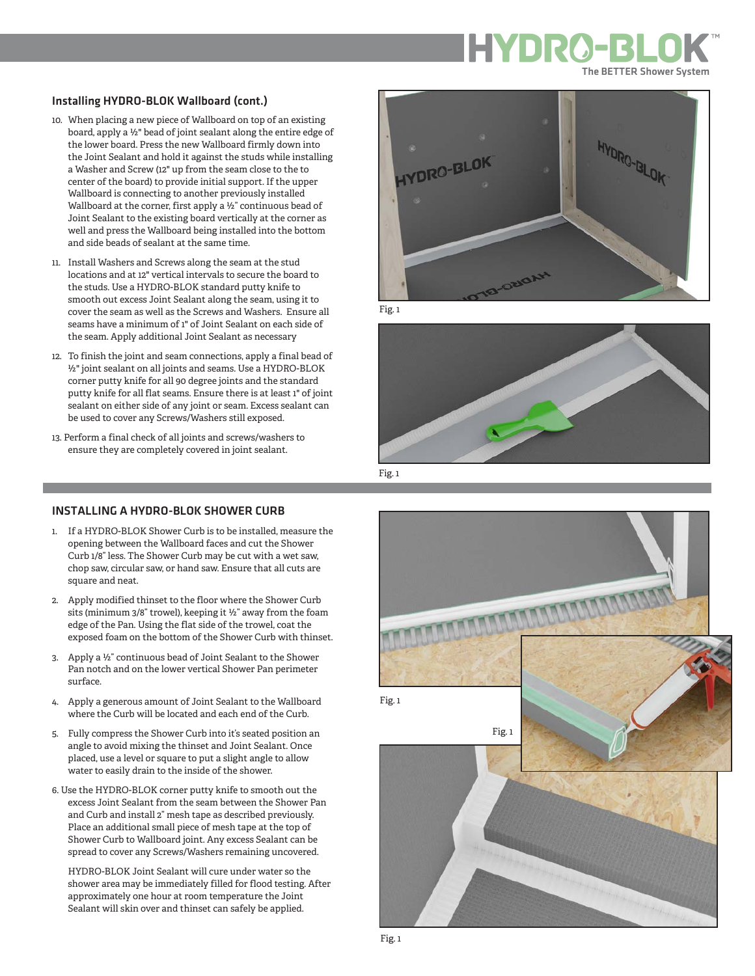#### Installing HYDRO-BLOK Wallboard (cont.)

- 10. When placing a new piece of Wallboard on top of an existing board, apply a ½" bead of joint sealant along the entire edge of the lower board. Press the new Wallboard firmly down into the Joint Sealant and hold it against the studs while installing a Washer and Screw (12" up from the seam close to the to center of the board) to provide initial support. If the upper Wallboard is connecting to another previously installed Wallboard at the corner, first apply a ½" continuous bead of Joint Sealant to the existing board vertically at the corner as well and press the Wallboard being installed into the bottom and side beads of sealant at the same time.
- 11. Install Washers and Screws along the seam at the stud locations and at 12" vertical intervals to secure the board to the studs. Use a HYDRO-BLOK standard putty knife to smooth out excess Joint Sealant along the seam, using it to cover the seam as well as the Screws and Washers. Ensure all seams have a minimum of 1" of Joint Sealant on each side of the seam. Apply additional Joint Sealant as necessary
- 12. To finish the joint and seam connections, apply a final bead of ½" joint sealant on all joints and seams. Use a HYDRO-BLOK corner putty knife for all 90 degree joints and the standard putty knife for all flat seams. Ensure there is at least 1" of joint sealant on either side of any joint or seam. Excess sealant can be used to cover any Screws/Washers still exposed.
- 13. Perform a final check of all joints and screws/washers to ensure they are completely covered in joint sealant.



Fig. 1



Fig. 1

#### INSTALLING A HYDRO-BLOK SHOWER CURB

- 1. If a HYDRO-BLOK Shower Curb is to be installed, measure the opening between the Wallboard faces and cut the Shower Curb 1/8" less. The Shower Curb may be cut with a wet saw, chop saw, circular saw, or hand saw. Ensure that all cuts are square and neat.
- 2. Apply modified thinset to the floor where the Shower Curb sits (minimum 3/8" trowel), keeping it ½" away from the foam edge of the Pan. Using the flat side of the trowel, coat the exposed foam on the bottom of the Shower Curb with thinset.
- 3. Apply a ½" continuous bead of Joint Sealant to the Shower Pan notch and on the lower vertical Shower Pan perimeter surface.
- 4. Apply a generous amount of Joint Sealant to the Wallboard where the Curb will be located and each end of the Curb.
- 5. Fully compress the Shower Curb into it's seated position an angle to avoid mixing the thinset and Joint Sealant. Once placed, use a level or square to put a slight angle to allow water to easily drain to the inside of the shower.
- 6. Use the HYDRO-BLOK corner putty knife to smooth out the excess Joint Sealant from the seam between the Shower Pan and Curb and install 2" mesh tape as described previously. Place an additional small piece of mesh tape at the top of Shower Curb to Wallboard joint. Any excess Sealant can be spread to cover any Screws/Washers remaining uncovered.

 HYDRO-BLOK Joint Sealant will cure under water so the shower area may be immediately filled for flood testing. After approximately one hour at room temperature the Joint Sealant will skin over and thinset can safely be applied.